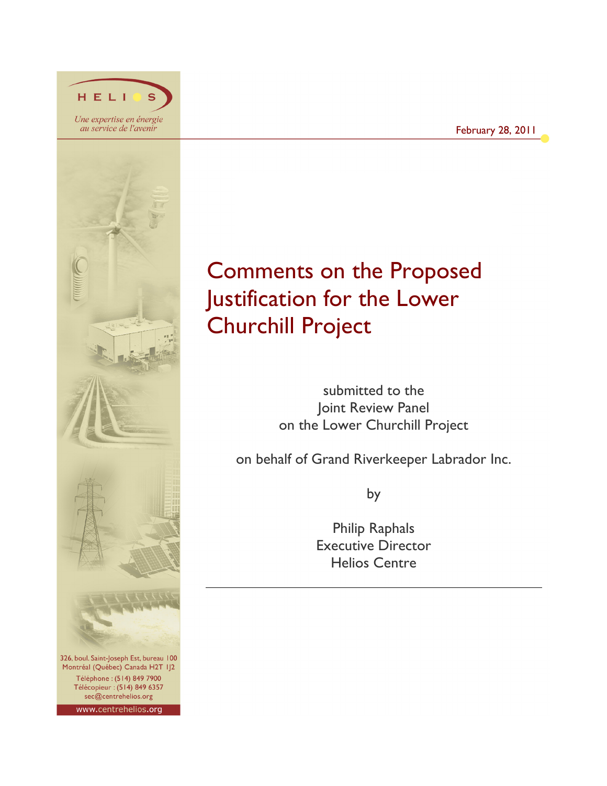

HELI

Montréal (Québec) Canada H2T IJ2 Téléphone: (514) 849 7900 Télécopieur : (514) 849 6357 sec@centrehelios.org

www.centrehelios.org

# Comments on the Proposed Justification for the Lower Churchill Project

submitted to the Joint Review Panel on the Lower Churchill Project

on behalf of Grand Riverkeeper Labrador Inc.

by

Philip Raphals Executive Director Helios Centre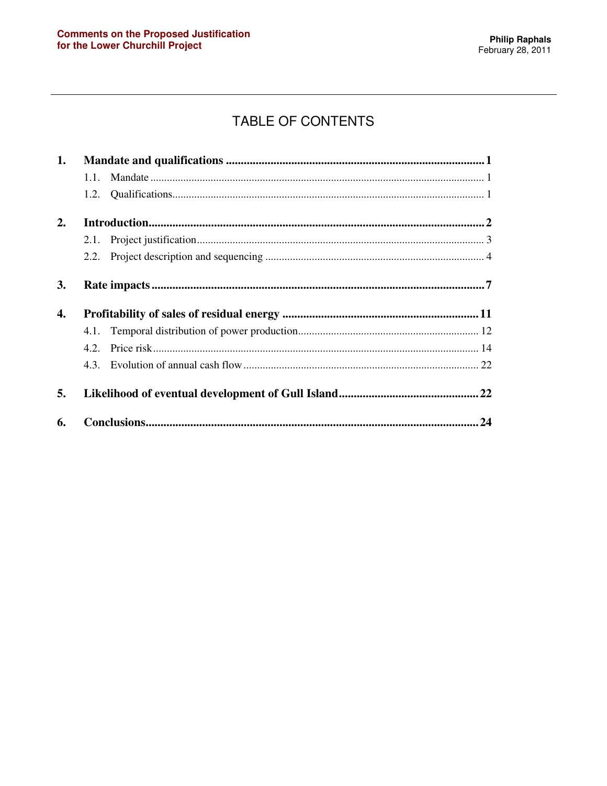## TABLE OF CONTENTS

| 1. |      |  |
|----|------|--|
|    |      |  |
|    |      |  |
| 2. |      |  |
|    |      |  |
|    | 2.2. |  |
| 3. |      |  |
| 4. |      |  |
|    |      |  |
|    | 4.2. |  |
|    |      |  |
| 5. |      |  |
| 6. | .24  |  |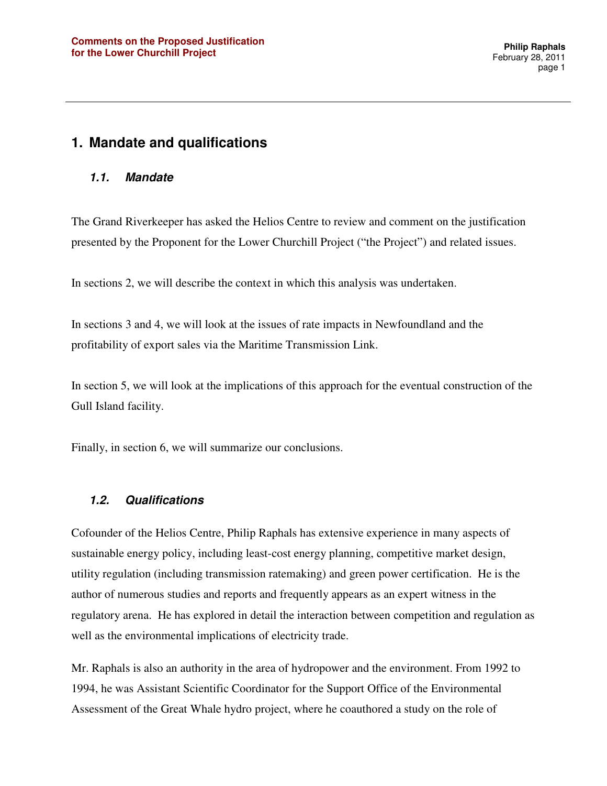### **1. Mandate and qualifications**

#### **1.1. Mandate**

The Grand Riverkeeper has asked the Helios Centre to review and comment on the justification presented by the Proponent for the Lower Churchill Project ("the Project") and related issues.

In sections 2, we will describe the context in which this analysis was undertaken.

In sections 3 and 4, we will look at the issues of rate impacts in Newfoundland and the profitability of export sales via the Maritime Transmission Link.

In section 5, we will look at the implications of this approach for the eventual construction of the Gull Island facility.

Finally, in section 6, we will summarize our conclusions.

#### **1.2. Qualifications**

Cofounder of the Helios Centre, Philip Raphals has extensive experience in many aspects of sustainable energy policy, including least-cost energy planning, competitive market design, utility regulation (including transmission ratemaking) and green power certification. He is the author of numerous studies and reports and frequently appears as an expert witness in the regulatory arena. He has explored in detail the interaction between competition and regulation as well as the environmental implications of electricity trade.

Mr. Raphals is also an authority in the area of hydropower and the environment. From 1992 to 1994, he was Assistant Scientific Coordinator for the Support Office of the Environmental Assessment of the Great Whale hydro project, where he coauthored a study on the role of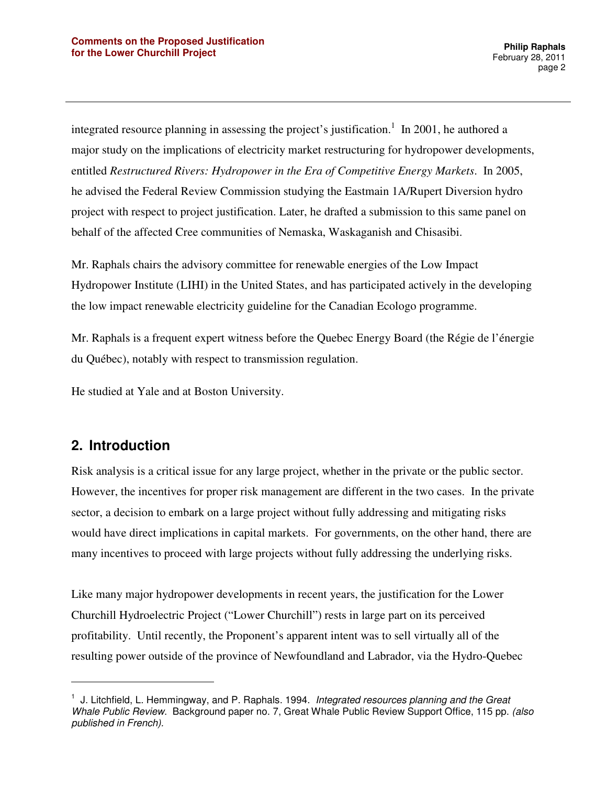integrated resource planning in assessing the project's justification.<sup>1</sup> In 2001, he authored a major study on the implications of electricity market restructuring for hydropower developments, entitled *Restructured Rivers: Hydropower in the Era of Competitive Energy Markets*. In 2005, he advised the Federal Review Commission studying the Eastmain 1A/Rupert Diversion hydro project with respect to project justification. Later, he drafted a submission to this same panel on behalf of the affected Cree communities of Nemaska, Waskaganish and Chisasibi.

Mr. Raphals chairs the advisory committee for renewable energies of the Low Impact Hydropower Institute (LIHI) in the United States, and has participated actively in the developing the low impact renewable electricity guideline for the Canadian Ecologo programme.

Mr. Raphals is a frequent expert witness before the Quebec Energy Board (the Régie de l'énergie du Québec), notably with respect to transmission regulation.

He studied at Yale and at Boston University.

### **2. Introduction**

 $\overline{a}$ 

Risk analysis is a critical issue for any large project, whether in the private or the public sector. However, the incentives for proper risk management are different in the two cases. In the private sector, a decision to embark on a large project without fully addressing and mitigating risks would have direct implications in capital markets. For governments, on the other hand, there are many incentives to proceed with large projects without fully addressing the underlying risks.

Like many major hydropower developments in recent years, the justification for the Lower Churchill Hydroelectric Project ("Lower Churchill") rests in large part on its perceived profitability. Until recently, the Proponent's apparent intent was to sell virtually all of the resulting power outside of the province of Newfoundland and Labrador, via the Hydro-Quebec

 $<sup>1</sup>$  J. Litchfield, L. Hemmingway, and P. Raphals. 1994. Integrated resources planning and the Great</sup> Whale Public Review. Background paper no. 7, Great Whale Public Review Support Office, 115 pp. (also published in French).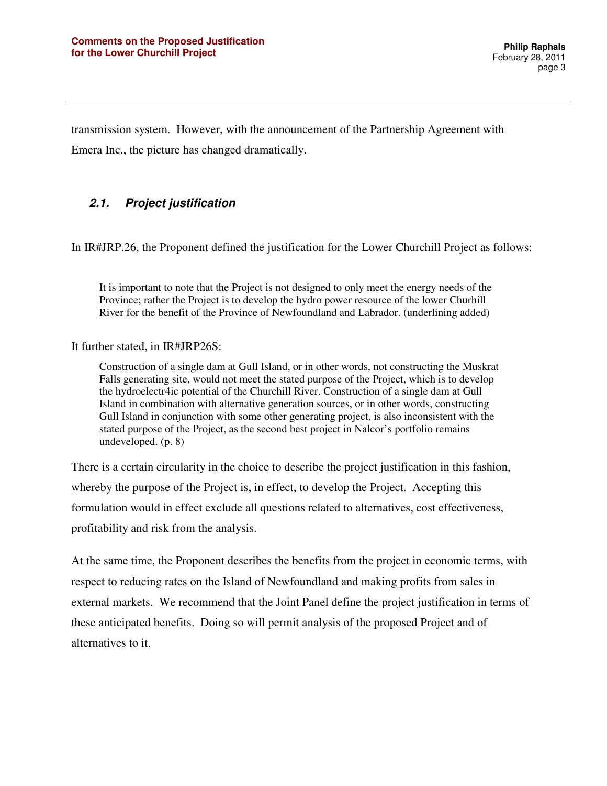transmission system. However, with the announcement of the Partnership Agreement with Emera Inc., the picture has changed dramatically.

#### **2.1. Project justification**

In IR#JRP.26, the Proponent defined the justification for the Lower Churchill Project as follows:

It is important to note that the Project is not designed to only meet the energy needs of the Province; rather the Project is to develop the hydro power resource of the lower Churhill River for the benefit of the Province of Newfoundland and Labrador. (underlining added)

It further stated, in IR#JRP26S:

Construction of a single dam at Gull Island, or in other words, not constructing the Muskrat Falls generating site, would not meet the stated purpose of the Project, which is to develop the hydroelectr4ic potential of the Churchill River. Construction of a single dam at Gull Island in combination with alternative generation sources, or in other words, constructing Gull Island in conjunction with some other generating project, is also inconsistent with the stated purpose of the Project, as the second best project in Nalcor's portfolio remains undeveloped. (p. 8)

There is a certain circularity in the choice to describe the project justification in this fashion, whereby the purpose of the Project is, in effect, to develop the Project. Accepting this formulation would in effect exclude all questions related to alternatives, cost effectiveness, profitability and risk from the analysis.

At the same time, the Proponent describes the benefits from the project in economic terms, with respect to reducing rates on the Island of Newfoundland and making profits from sales in external markets. We recommend that the Joint Panel define the project justification in terms of these anticipated benefits. Doing so will permit analysis of the proposed Project and of alternatives to it.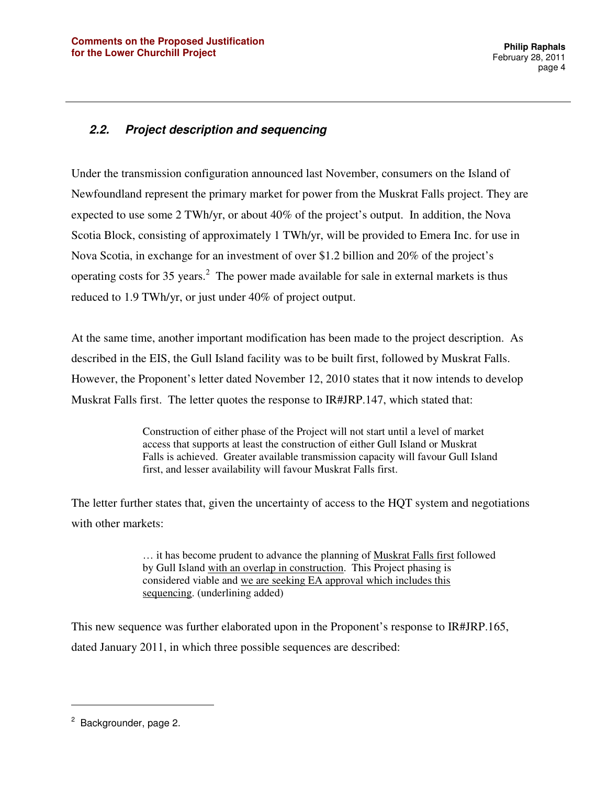### **2.2. Project description and sequencing**

Under the transmission configuration announced last November, consumers on the Island of Newfoundland represent the primary market for power from the Muskrat Falls project. They are expected to use some 2 TWh/yr, or about 40% of the project's output. In addition, the Nova Scotia Block, consisting of approximately 1 TWh/yr, will be provided to Emera Inc. for use in Nova Scotia, in exchange for an investment of over \$1.2 billion and 20% of the project's operating costs for 35 years.<sup>2</sup> The power made available for sale in external markets is thus reduced to 1.9 TWh/yr, or just under 40% of project output.

At the same time, another important modification has been made to the project description. As described in the EIS, the Gull Island facility was to be built first, followed by Muskrat Falls. However, the Proponent's letter dated November 12, 2010 states that it now intends to develop Muskrat Falls first. The letter quotes the response to IR#JRP.147, which stated that:

> Construction of either phase of the Project will not start until a level of market access that supports at least the construction of either Gull Island or Muskrat Falls is achieved. Greater available transmission capacity will favour Gull Island first, and lesser availability will favour Muskrat Falls first.

The letter further states that, given the uncertainty of access to the HQT system and negotiations with other markets:

> … it has become prudent to advance the planning of Muskrat Falls first followed by Gull Island with an overlap in construction. This Project phasing is considered viable and we are seeking EA approval which includes this sequencing. (underlining added)

This new sequence was further elaborated upon in the Proponent's response to IR#JRP.165, dated January 2011, in which three possible sequences are described:

<sup>&</sup>lt;sup>2</sup> Backgrounder, page 2.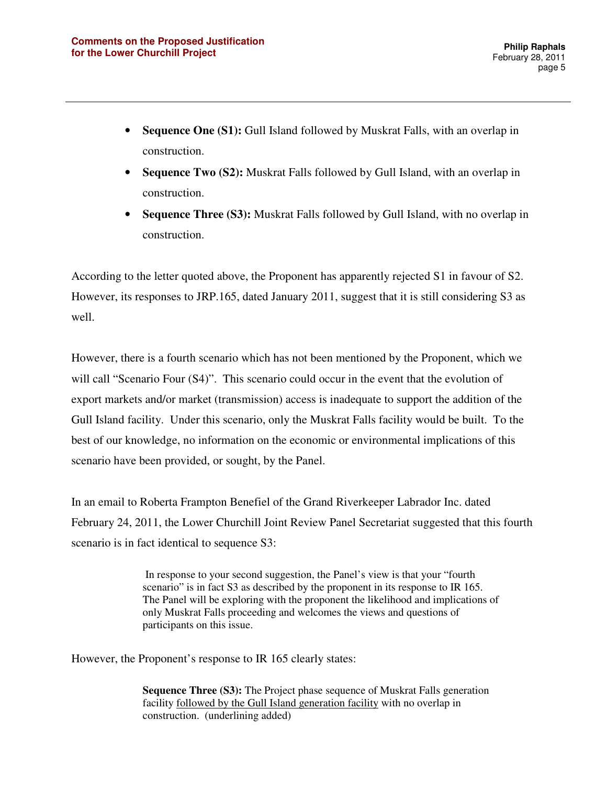- **Sequence One (S1):** Gull Island followed by Muskrat Falls, with an overlap in construction.
- **Sequence Two (S2):** Muskrat Falls followed by Gull Island, with an overlap in construction.
- **Sequence Three (S3):** Muskrat Falls followed by Gull Island, with no overlap in construction.

According to the letter quoted above, the Proponent has apparently rejected S1 in favour of S2. However, its responses to JRP.165, dated January 2011, suggest that it is still considering S3 as well.

However, there is a fourth scenario which has not been mentioned by the Proponent, which we will call "Scenario Four (S4)". This scenario could occur in the event that the evolution of export markets and/or market (transmission) access is inadequate to support the addition of the Gull Island facility. Under this scenario, only the Muskrat Falls facility would be built. To the best of our knowledge, no information on the economic or environmental implications of this scenario have been provided, or sought, by the Panel.

In an email to Roberta Frampton Benefiel of the Grand Riverkeeper Labrador Inc. dated February 24, 2011, the Lower Churchill Joint Review Panel Secretariat suggested that this fourth scenario is in fact identical to sequence S3:

> In response to your second suggestion, the Panel's view is that your "fourth scenario" is in fact S3 as described by the proponent in its response to IR 165. The Panel will be exploring with the proponent the likelihood and implications of only Muskrat Falls proceeding and welcomes the views and questions of participants on this issue.

However, the Proponent's response to IR 165 clearly states:

**Sequence Three (S3):** The Project phase sequence of Muskrat Falls generation facility followed by the Gull Island generation facility with no overlap in construction. (underlining added)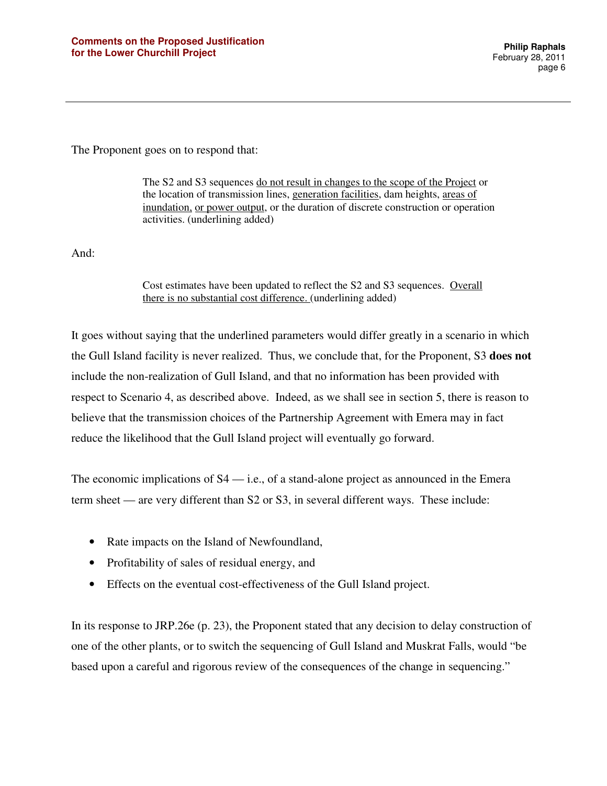The Proponent goes on to respond that:

The S2 and S3 sequences do not result in changes to the scope of the Project or the location of transmission lines, generation facilities, dam heights, areas of inundation, or power output, or the duration of discrete construction or operation activities. (underlining added)

And:

Cost estimates have been updated to reflect the S2 and S3 sequences. Overall there is no substantial cost difference. (underlining added)

It goes without saying that the underlined parameters would differ greatly in a scenario in which the Gull Island facility is never realized. Thus, we conclude that, for the Proponent, S3 **does not** include the non-realization of Gull Island, and that no information has been provided with respect to Scenario 4, as described above. Indeed, as we shall see in section 5, there is reason to believe that the transmission choices of the Partnership Agreement with Emera may in fact reduce the likelihood that the Gull Island project will eventually go forward.

The economic implications of S4 — i.e., of a stand-alone project as announced in the Emera term sheet — are very different than S2 or S3, in several different ways. These include:

- Rate impacts on the Island of Newfoundland,
- Profitability of sales of residual energy, and
- Effects on the eventual cost-effectiveness of the Gull Island project.

In its response to JRP.26e (p. 23), the Proponent stated that any decision to delay construction of one of the other plants, or to switch the sequencing of Gull Island and Muskrat Falls, would "be based upon a careful and rigorous review of the consequences of the change in sequencing."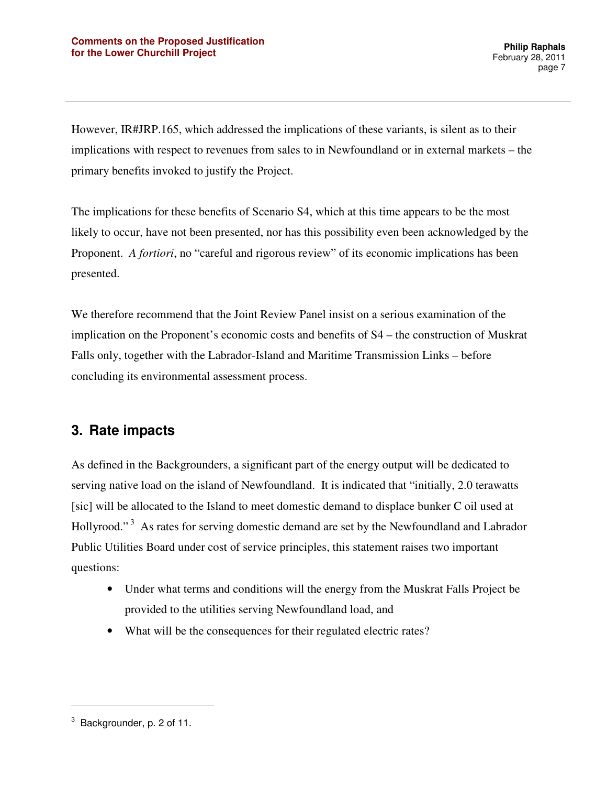However, IR#JRP.165, which addressed the implications of these variants, is silent as to their implications with respect to revenues from sales to in Newfoundland or in external markets – the primary benefits invoked to justify the Project.

The implications for these benefits of Scenario S4, which at this time appears to be the most likely to occur, have not been presented, nor has this possibility even been acknowledged by the Proponent. *A fortiori*, no "careful and rigorous review" of its economic implications has been presented.

We therefore recommend that the Joint Review Panel insist on a serious examination of the implication on the Proponent's economic costs and benefits of S4 – the construction of Muskrat Falls only, together with the Labrador-Island and Maritime Transmission Links – before concluding its environmental assessment process.

### **3. Rate impacts**

As defined in the Backgrounders, a significant part of the energy output will be dedicated to serving native load on the island of Newfoundland. It is indicated that "initially, 2.0 terawatts [sic] will be allocated to the Island to meet domestic demand to displace bunker C oil used at Hollyrood."<sup>3</sup> As rates for serving domestic demand are set by the Newfoundland and Labrador Public Utilities Board under cost of service principles, this statement raises two important questions:

- Under what terms and conditions will the energy from the Muskrat Falls Project be provided to the utilities serving Newfoundland load, and
- What will be the consequences for their regulated electric rates?

 $3$  Backgrounder, p. 2 of 11.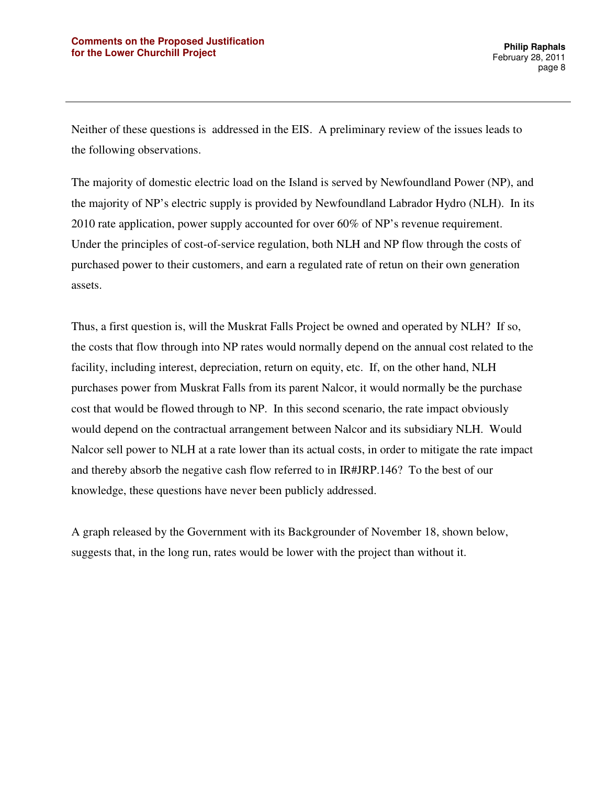Neither of these questions is addressed in the EIS. A preliminary review of the issues leads to the following observations.

The majority of domestic electric load on the Island is served by Newfoundland Power (NP), and the majority of NP's electric supply is provided by Newfoundland Labrador Hydro (NLH). In its 2010 rate application, power supply accounted for over 60% of NP's revenue requirement. Under the principles of cost-of-service regulation, both NLH and NP flow through the costs of purchased power to their customers, and earn a regulated rate of retun on their own generation assets.

Thus, a first question is, will the Muskrat Falls Project be owned and operated by NLH? If so, the costs that flow through into NP rates would normally depend on the annual cost related to the facility, including interest, depreciation, return on equity, etc. If, on the other hand, NLH purchases power from Muskrat Falls from its parent Nalcor, it would normally be the purchase cost that would be flowed through to NP. In this second scenario, the rate impact obviously would depend on the contractual arrangement between Nalcor and its subsidiary NLH. Would Nalcor sell power to NLH at a rate lower than its actual costs, in order to mitigate the rate impact and thereby absorb the negative cash flow referred to in IR#JRP.146? To the best of our knowledge, these questions have never been publicly addressed.

A graph released by the Government with its Backgrounder of November 18, shown below, suggests that, in the long run, rates would be lower with the project than without it.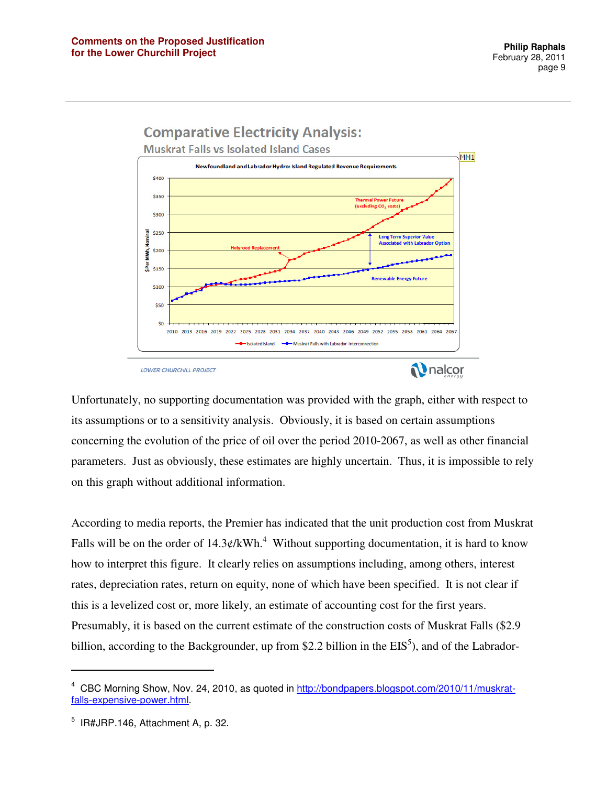

LOWER CHURCHILL PROJECT

Unfortunately, no supporting documentation was provided with the graph, either with respect to its assumptions or to a sensitivity analysis. Obviously, it is based on certain assumptions concerning the evolution of the price of oil over the period 2010-2067, as well as other financial parameters. Just as obviously, these estimates are highly uncertain. Thus, it is impossible to rely on this graph without additional information.

According to media reports, the Premier has indicated that the unit production cost from Muskrat Falls will be on the order of  $14.3 \phi$ /kWh.<sup>4</sup> Without supporting documentation, it is hard to know how to interpret this figure. It clearly relies on assumptions including, among others, interest rates, depreciation rates, return on equity, none of which have been specified. It is not clear if this is a levelized cost or, more likely, an estimate of accounting cost for the first years. Presumably, it is based on the current estimate of the construction costs of Muskrat Falls (\$2.9 billion, according to the Backgrounder, up from \$2.2 billion in the  $EIS^5$ ), and of the Labrador-

<sup>4</sup> CBC Morning Show, Nov. 24, 2010, as quoted in http://bondpapers.blogspot.com/2010/11/muskratfalls-expensive-power.html.

 $5$  IR#JRP.146, Attachment A, p. 32.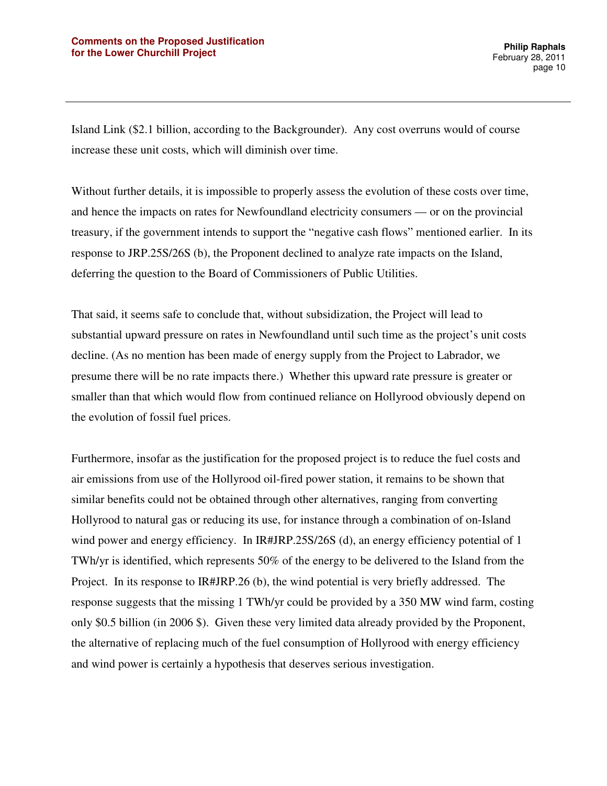Island Link (\$2.1 billion, according to the Backgrounder). Any cost overruns would of course increase these unit costs, which will diminish over time.

Without further details, it is impossible to properly assess the evolution of these costs over time, and hence the impacts on rates for Newfoundland electricity consumers — or on the provincial treasury, if the government intends to support the "negative cash flows" mentioned earlier. In its response to JRP.25S/26S (b), the Proponent declined to analyze rate impacts on the Island, deferring the question to the Board of Commissioners of Public Utilities.

That said, it seems safe to conclude that, without subsidization, the Project will lead to substantial upward pressure on rates in Newfoundland until such time as the project's unit costs decline. (As no mention has been made of energy supply from the Project to Labrador, we presume there will be no rate impacts there.) Whether this upward rate pressure is greater or smaller than that which would flow from continued reliance on Hollyrood obviously depend on the evolution of fossil fuel prices.

Furthermore, insofar as the justification for the proposed project is to reduce the fuel costs and air emissions from use of the Hollyrood oil-fired power station, it remains to be shown that similar benefits could not be obtained through other alternatives, ranging from converting Hollyrood to natural gas or reducing its use, for instance through a combination of on-Island wind power and energy efficiency. In IR#JRP.25S/26S (d), an energy efficiency potential of 1 TWh/yr is identified, which represents 50% of the energy to be delivered to the Island from the Project. In its response to IR#JRP.26 (b), the wind potential is very briefly addressed. The response suggests that the missing 1 TWh/yr could be provided by a 350 MW wind farm, costing only \$0.5 billion (in 2006 \$). Given these very limited data already provided by the Proponent, the alternative of replacing much of the fuel consumption of Hollyrood with energy efficiency and wind power is certainly a hypothesis that deserves serious investigation.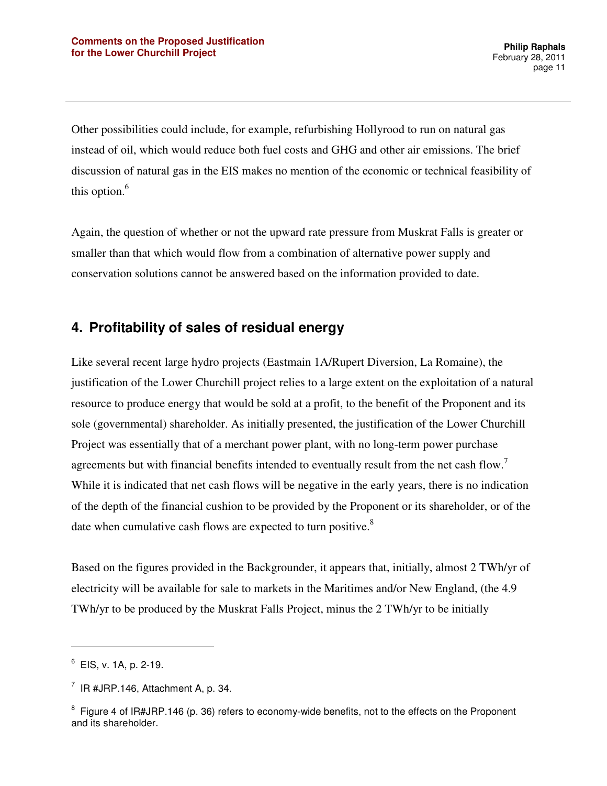Other possibilities could include, for example, refurbishing Hollyrood to run on natural gas instead of oil, which would reduce both fuel costs and GHG and other air emissions. The brief discussion of natural gas in the EIS makes no mention of the economic or technical feasibility of this option.<sup>6</sup>

Again, the question of whether or not the upward rate pressure from Muskrat Falls is greater or smaller than that which would flow from a combination of alternative power supply and conservation solutions cannot be answered based on the information provided to date.

### **4. Profitability of sales of residual energy**

Like several recent large hydro projects (Eastmain 1A/Rupert Diversion, La Romaine), the justification of the Lower Churchill project relies to a large extent on the exploitation of a natural resource to produce energy that would be sold at a profit, to the benefit of the Proponent and its sole (governmental) shareholder. As initially presented, the justification of the Lower Churchill Project was essentially that of a merchant power plant, with no long-term power purchase agreements but with financial benefits intended to eventually result from the net cash flow.<sup>7</sup> While it is indicated that net cash flows will be negative in the early years, there is no indication of the depth of the financial cushion to be provided by the Proponent or its shareholder, or of the date when cumulative cash flows are expected to turn positive.<sup>8</sup>

Based on the figures provided in the Backgrounder, it appears that, initially, almost 2 TWh/yr of electricity will be available for sale to markets in the Maritimes and/or New England, (the 4.9 TWh/yr to be produced by the Muskrat Falls Project, minus the 2 TWh/yr to be initially

l

 $6$  EIS, v. 1A, p. 2-19.

 $7$  IR #JRP.146, Attachment A, p. 34.

<sup>&</sup>lt;sup>8</sup> Figure 4 of IR#JRP.146 (p. 36) refers to economy-wide benefits, not to the effects on the Proponent and its shareholder.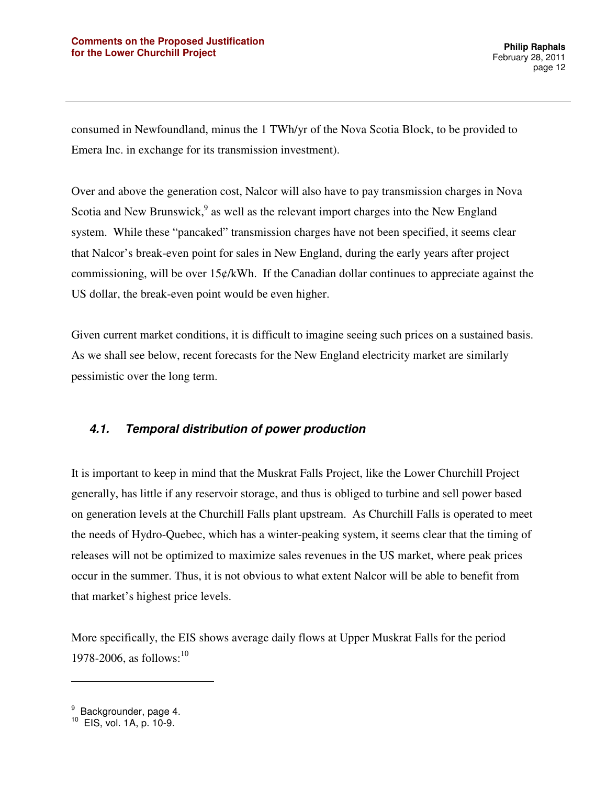consumed in Newfoundland, minus the 1 TWh/yr of the Nova Scotia Block, to be provided to Emera Inc. in exchange for its transmission investment).

Over and above the generation cost, Nalcor will also have to pay transmission charges in Nova Scotia and New Brunswick, $9$  as well as the relevant import charges into the New England system. While these "pancaked" transmission charges have not been specified, it seems clear that Nalcor's break-even point for sales in New England, during the early years after project commissioning, will be over  $15¢/kWh$ . If the Canadian dollar continues to appreciate against the US dollar, the break-even point would be even higher.

Given current market conditions, it is difficult to imagine seeing such prices on a sustained basis. As we shall see below, recent forecasts for the New England electricity market are similarly pessimistic over the long term.

#### **4.1. Temporal distribution of power production**

It is important to keep in mind that the Muskrat Falls Project, like the Lower Churchill Project generally, has little if any reservoir storage, and thus is obliged to turbine and sell power based on generation levels at the Churchill Falls plant upstream. As Churchill Falls is operated to meet the needs of Hydro-Quebec, which has a winter-peaking system, it seems clear that the timing of releases will not be optimized to maximize sales revenues in the US market, where peak prices occur in the summer. Thus, it is not obvious to what extent Nalcor will be able to benefit from that market's highest price levels.

More specifically, the EIS shows average daily flows at Upper Muskrat Falls for the period 1978-2006, as follows:  $10^{10}$ 

<sup>&</sup>lt;sup>9</sup> Backgrounder, page 4.

<sup>10</sup> EIS, vol. 1A, p. 10-9.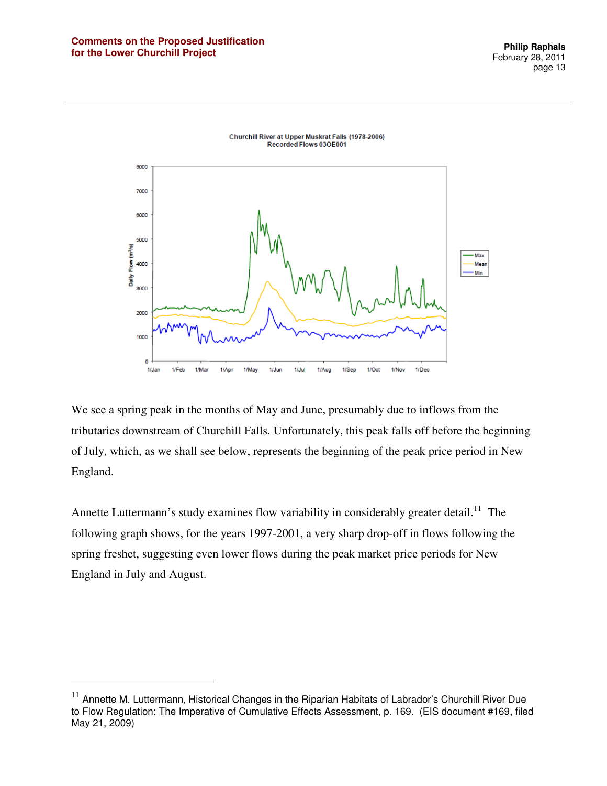$\overline{a}$ 



Churchill River at Upper Muskrat Falls (1978-2006) Recorded Flows 030E001

We see a spring peak in the months of May and June, presumably due to inflows from the tributaries downstream of Churchill Falls. Unfortunately, this peak falls off before the beginning of July, which, as we shall see below, represents the beginning of the peak price period in New England.

Annette Luttermann's study examines flow variability in considerably greater detail.<sup>11</sup> The following graph shows, for the years 1997-2001, a very sharp drop-off in flows following the spring freshet, suggesting even lower flows during the peak market price periods for New England in July and August.

 $11$  Annette M. Luttermann, Historical Changes in the Riparian Habitats of Labrador's Churchill River Due to Flow Regulation: The Imperative of Cumulative Effects Assessment, p. 169. (EIS document #169, filed May 21, 2009)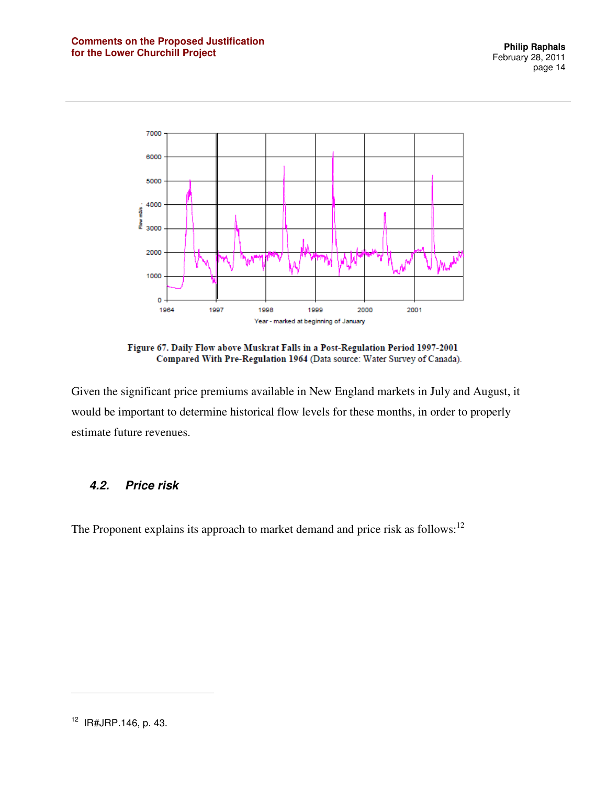

Figure 67. Daily Flow above Muskrat Falls in a Post-Regulation Period 1997-2001 Compared With Pre-Regulation 1964 (Data source: Water Survey of Canada).

Given the significant price premiums available in New England markets in July and August, it would be important to determine historical flow levels for these months, in order to properly estimate future revenues.

#### **4.2. Price risk**

The Proponent explains its approach to market demand and price risk as follows:<sup>12</sup>

<sup>12</sup> IR#JRP.146, p. 43.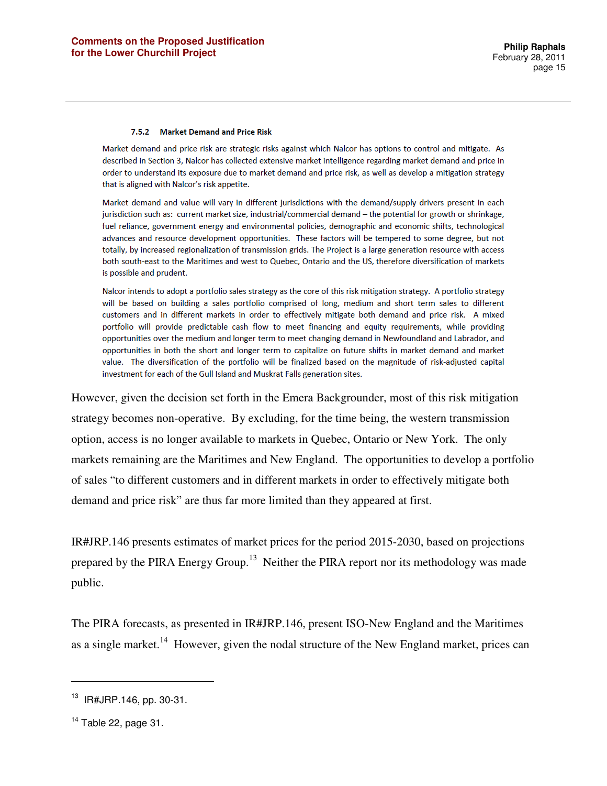#### 7.5.2 Market Demand and Price Risk

Market demand and price risk are strategic risks against which Nalcor has options to control and mitigate. As described in Section 3, Nalcor has collected extensive market intelligence regarding market demand and price in order to understand its exposure due to market demand and price risk, as well as develop a mitigation strategy that is aligned with Nalcor's risk appetite.

Market demand and value will vary in different jurisdictions with the demand/supply drivers present in each jurisdiction such as: current market size, industrial/commercial demand - the potential for growth or shrinkage, fuel reliance, government energy and environmental policies, demographic and economic shifts, technological advances and resource development opportunities. These factors will be tempered to some degree, but not totally, by increased regionalization of transmission grids. The Project is a large generation resource with access both south-east to the Maritimes and west to Quebec, Ontario and the US, therefore diversification of markets is possible and prudent.

Nalcor intends to adopt a portfolio sales strategy as the core of this risk mitigation strategy. A portfolio strategy will be based on building a sales portfolio comprised of long, medium and short term sales to different customers and in different markets in order to effectively mitigate both demand and price risk. A mixed portfolio will provide predictable cash flow to meet financing and equity requirements, while providing opportunities over the medium and longer term to meet changing demand in Newfoundland and Labrador, and opportunities in both the short and longer term to capitalize on future shifts in market demand and market value. The diversification of the portfolio will be finalized based on the magnitude of risk-adjusted capital investment for each of the Gull Island and Muskrat Falls generation sites.

However, given the decision set forth in the Emera Backgrounder, most of this risk mitigation strategy becomes non-operative. By excluding, for the time being, the western transmission option, access is no longer available to markets in Quebec, Ontario or New York. The only markets remaining are the Maritimes and New England. The opportunities to develop a portfolio of sales "to different customers and in different markets in order to effectively mitigate both demand and price risk" are thus far more limited than they appeared at first.

IR#JRP.146 presents estimates of market prices for the period 2015-2030, based on projections prepared by the PIRA Energy Group.<sup>13</sup> Neither the PIRA report nor its methodology was made public.

The PIRA forecasts, as presented in IR#JRP.146, present ISO-New England and the Maritimes as a single market.<sup>14</sup> However, given the nodal structure of the New England market, prices can

<sup>13</sup> IR#JRP.146, pp. 30-31.

 $14$  Table 22, page 31.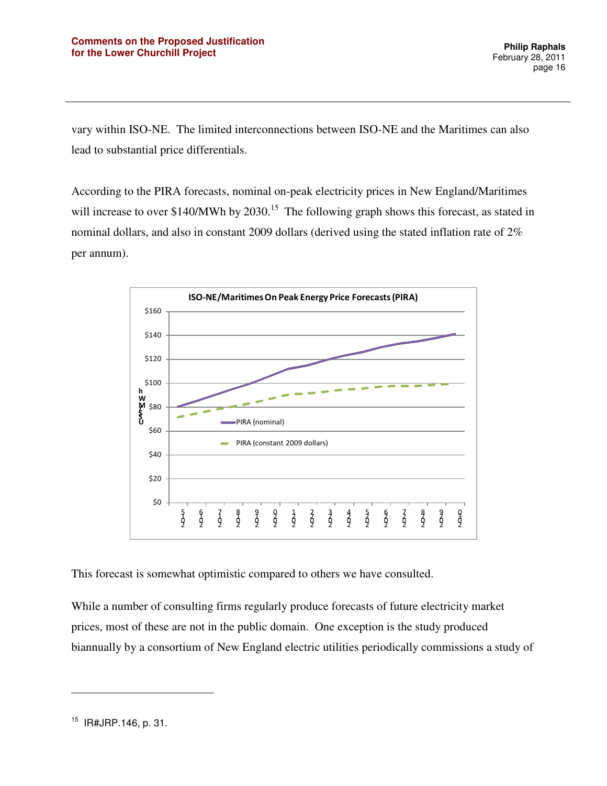vary within ISO-NE. The limited interconnections between ISO-NE and the Maritimes can also lead to substantial price differentials.

According to the PIRA forecasts, nominal on-peak electricity prices in New England/Maritimes will increase to over \$140/MWh by  $2030$ .<sup>15</sup> The following graph shows this forecast, as stated in nominal dollars, and also in constant 2009 dollars (derived using the stated inflation rate of 2% per annum).



This forecast is somewhat optimistic compared to others we have consulted.

While a number of consulting firms regularly produce forecasts of future electricity market prices, most of these are not in the public domain. One exception is the study produced biannually by a consortium of New England electric utilities periodically commissions a study of

<sup>15</sup> IR#JRP.146, p. 31.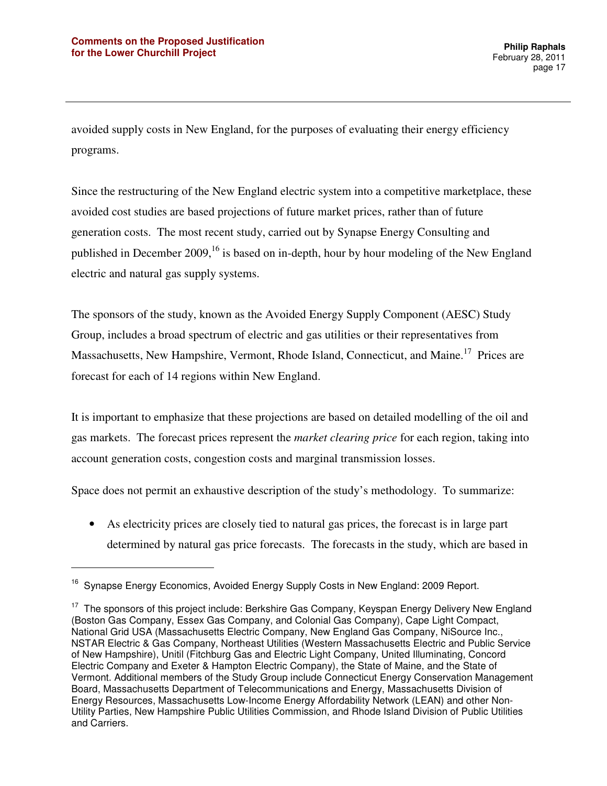$\overline{a}$ 

avoided supply costs in New England, for the purposes of evaluating their energy efficiency programs.

Since the restructuring of the New England electric system into a competitive marketplace, these avoided cost studies are based projections of future market prices, rather than of future generation costs. The most recent study, carried out by Synapse Energy Consulting and published in December  $2009$ , <sup>16</sup> is based on in-depth, hour by hour modeling of the New England electric and natural gas supply systems.

The sponsors of the study, known as the Avoided Energy Supply Component (AESC) Study Group, includes a broad spectrum of electric and gas utilities or their representatives from Massachusetts, New Hampshire, Vermont, Rhode Island, Connecticut, and Maine.<sup>17</sup> Prices are forecast for each of 14 regions within New England.

It is important to emphasize that these projections are based on detailed modelling of the oil and gas markets. The forecast prices represent the *market clearing price* for each region, taking into account generation costs, congestion costs and marginal transmission losses.

Space does not permit an exhaustive description of the study's methodology. To summarize:

• As electricity prices are closely tied to natural gas prices, the forecast is in large part determined by natural gas price forecasts. The forecasts in the study, which are based in

<sup>&</sup>lt;sup>16</sup> Synapse Energy Economics, Avoided Energy Supply Costs in New England: 2009 Report.

 $17$  The sponsors of this project include: Berkshire Gas Company, Keyspan Energy Delivery New England (Boston Gas Company, Essex Gas Company, and Colonial Gas Company), Cape Light Compact, National Grid USA (Massachusetts Electric Company, New England Gas Company, NiSource Inc., NSTAR Electric & Gas Company, Northeast Utilities (Western Massachusetts Electric and Public Service of New Hampshire), Unitil (Fitchburg Gas and Electric Light Company, United Illuminating, Concord Electric Company and Exeter & Hampton Electric Company), the State of Maine, and the State of Vermont. Additional members of the Study Group include Connecticut Energy Conservation Management Board, Massachusetts Department of Telecommunications and Energy, Massachusetts Division of Energy Resources, Massachusetts Low-Income Energy Affordability Network (LEAN) and other Non-Utility Parties, New Hampshire Public Utilities Commission, and Rhode Island Division of Public Utilities and Carriers.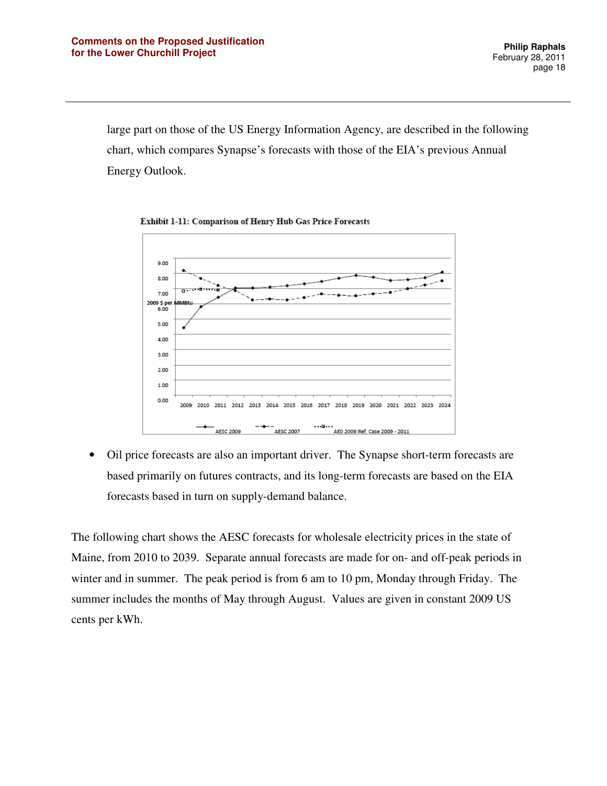large part on those of the US Energy Information Agency, are described in the following chart, which compares Synapse's forecasts with those of the EIA's previous Annual Energy Outlook.

 $9.00$ 8.00 7.00 2009 \$ pe 6.00 5.00 4.00 3.00  $2.00$ 1.00  $0.00$ 2009 2010 2011 2012 2013 2014 2015 2016 2017 2018 2019 2020 2021 2022 2023 2024  $+$  AESC 2009

Exhibit 1-11: Comparison of Henry Hub Gas Price Forecasts

• Oil price forecasts are also an important driver. The Synapse short-term forecasts are based primarily on futures contracts, and its long-term forecasts are based on the EIA forecasts based in turn on supply-demand balance.

The following chart shows the AESC forecasts for wholesale electricity prices in the state of Maine, from 2010 to 2039. Separate annual forecasts are made for on- and off-peak periods in winter and in summer. The peak period is from 6 am to 10 pm, Monday through Friday. The summer includes the months of May through August. Values are given in constant 2009 US cents per kWh.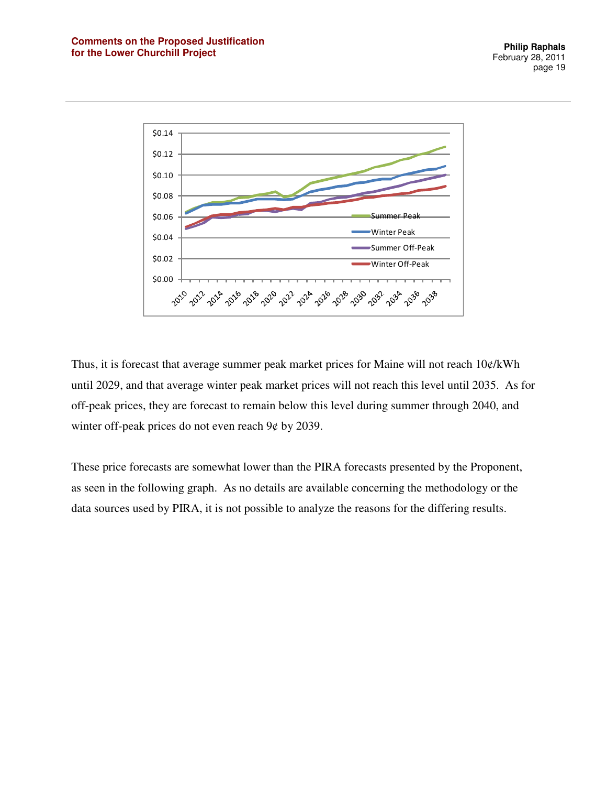

Thus, it is forecast that average summer peak market prices for Maine will not reach  $10\phi$ /kWh until 2029, and that average winter peak market prices will not reach this level until 2035. As for off-peak prices, they are forecast to remain below this level during summer through 2040, and winter off-peak prices do not even reach 9¢ by 2039.

These price forecasts are somewhat lower than the PIRA forecasts presented by the Proponent, as seen in the following graph. As no details are available concerning the methodology or the data sources used by PIRA, it is not possible to analyze the reasons for the differing results.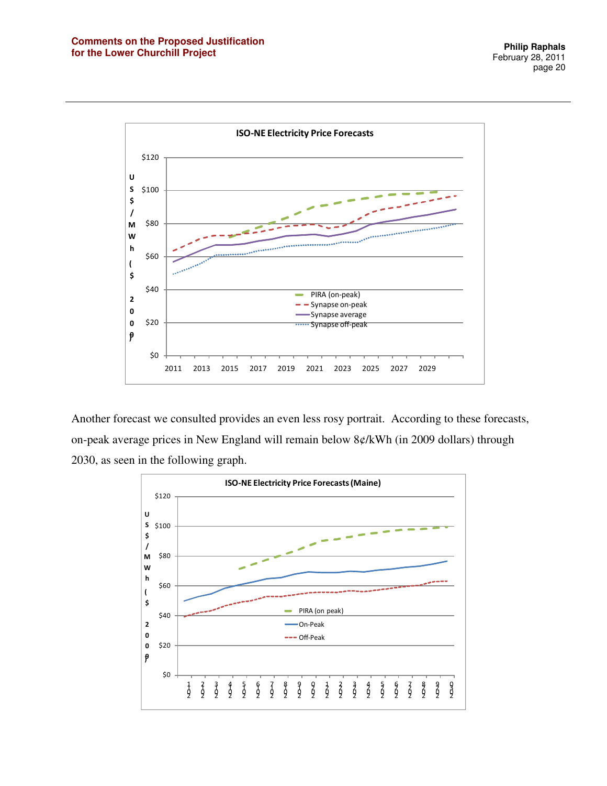

Another forecast we consulted provides an even less rosy portrait. According to these forecasts, on-peak average prices in New England will remain below 8¢/kWh (in 2009 dollars) through 2030, as seen in the following graph.

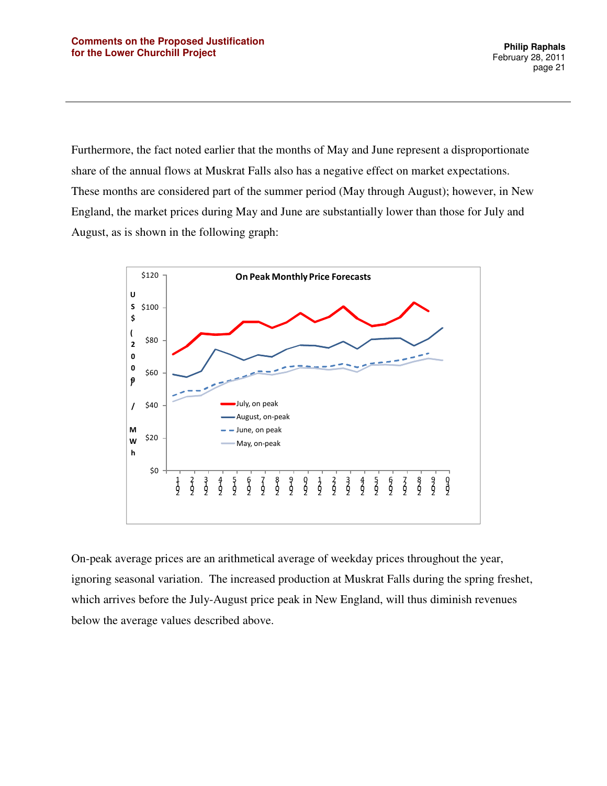Furthermore, the fact noted earlier that the months of May and June represent a disproportionate share of the annual flows at Muskrat Falls also has a negative effect on market expectations. These months are considered part of the summer period (May through August); however, in New England, the market prices during May and June are substantially lower than those for July and August, as is shown in the following graph:



On-peak average prices are an arithmetical average of weekday prices throughout the year, ignoring seasonal variation. The increased production at Muskrat Falls during the spring freshet, which arrives before the July-August price peak in New England, will thus diminish revenues below the average values described above.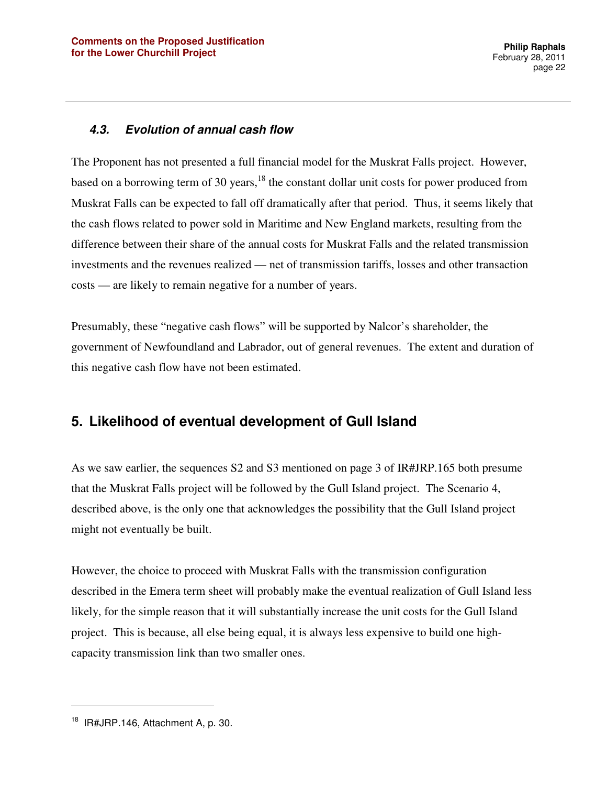#### **4.3. Evolution of annual cash flow**

The Proponent has not presented a full financial model for the Muskrat Falls project. However, based on a borrowing term of 30 years, $18$  the constant dollar unit costs for power produced from Muskrat Falls can be expected to fall off dramatically after that period. Thus, it seems likely that the cash flows related to power sold in Maritime and New England markets, resulting from the difference between their share of the annual costs for Muskrat Falls and the related transmission investments and the revenues realized — net of transmission tariffs, losses and other transaction costs — are likely to remain negative for a number of years.

Presumably, these "negative cash flows" will be supported by Nalcor's shareholder, the government of Newfoundland and Labrador, out of general revenues. The extent and duration of this negative cash flow have not been estimated.

### **5. Likelihood of eventual development of Gull Island**

As we saw earlier, the sequences S2 and S3 mentioned on page 3 of IR#JRP.165 both presume that the Muskrat Falls project will be followed by the Gull Island project. The Scenario 4, described above, is the only one that acknowledges the possibility that the Gull Island project might not eventually be built.

However, the choice to proceed with Muskrat Falls with the transmission configuration described in the Emera term sheet will probably make the eventual realization of Gull Island less likely, for the simple reason that it will substantially increase the unit costs for the Gull Island project. This is because, all else being equal, it is always less expensive to build one highcapacity transmission link than two smaller ones.

 $18$  IR#JRP.146, Attachment A, p. 30.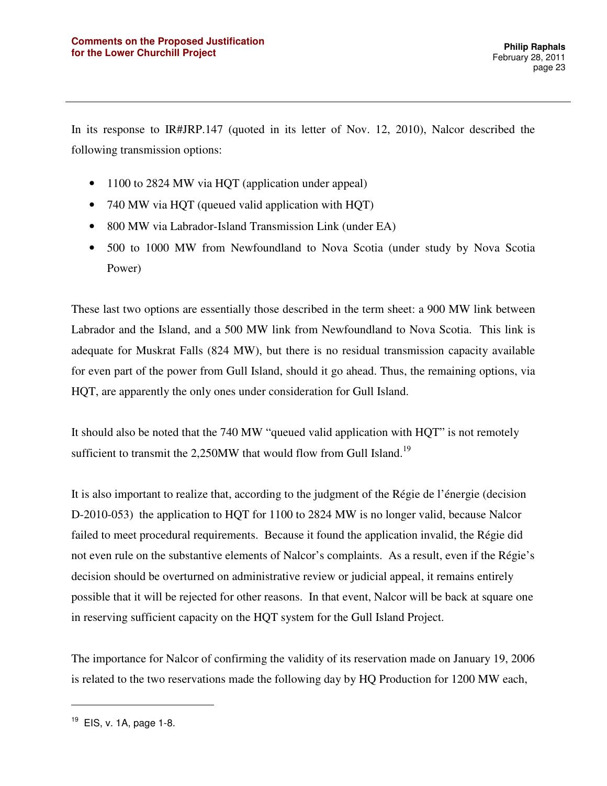In its response to IR#JRP.147 (quoted in its letter of Nov. 12, 2010), Nalcor described the following transmission options:

- 1100 to 2824 MW via HQT (application under appeal)
- 740 MW via HOT (queued valid application with HOT)
- 800 MW via Labrador-Island Transmission Link (under EA)
- 500 to 1000 MW from Newfoundland to Nova Scotia (under study by Nova Scotia Power)

These last two options are essentially those described in the term sheet: a 900 MW link between Labrador and the Island, and a 500 MW link from Newfoundland to Nova Scotia. This link is adequate for Muskrat Falls (824 MW), but there is no residual transmission capacity available for even part of the power from Gull Island, should it go ahead. Thus, the remaining options, via HQT, are apparently the only ones under consideration for Gull Island.

It should also be noted that the 740 MW "queued valid application with HQT" is not remotely sufficient to transmit the  $2,250MW$  that would flow from Gull Island.<sup>19</sup>

It is also important to realize that, according to the judgment of the Régie de l'énergie (decision D-2010-053) the application to HQT for 1100 to 2824 MW is no longer valid, because Nalcor failed to meet procedural requirements. Because it found the application invalid, the Régie did not even rule on the substantive elements of Nalcor's complaints. As a result, even if the Régie's decision should be overturned on administrative review or judicial appeal, it remains entirely possible that it will be rejected for other reasons. In that event, Nalcor will be back at square one in reserving sufficient capacity on the HQT system for the Gull Island Project.

The importance for Nalcor of confirming the validity of its reservation made on January 19, 2006 is related to the two reservations made the following day by HQ Production for 1200 MW each,

<sup>&</sup>lt;sup>19</sup> EIS, v. 1A, page 1-8.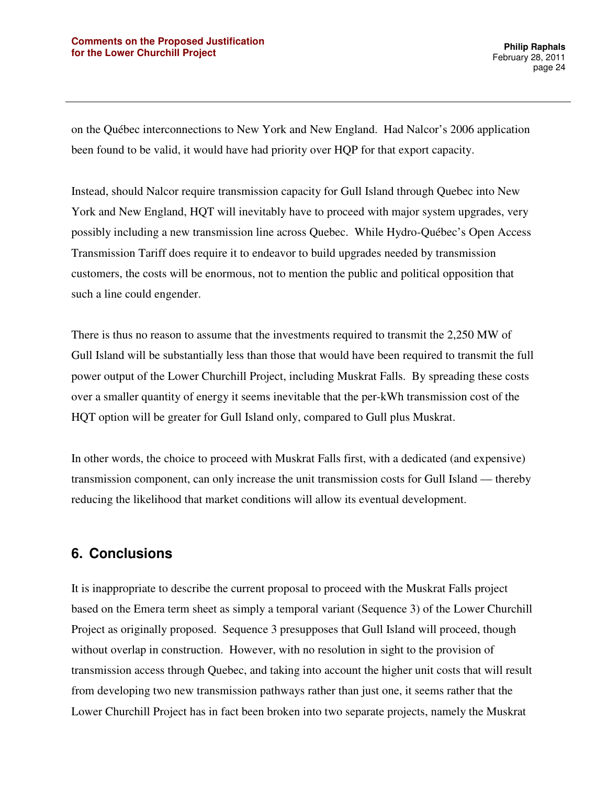on the Québec interconnections to New York and New England. Had Nalcor's 2006 application been found to be valid, it would have had priority over HQP for that export capacity.

Instead, should Nalcor require transmission capacity for Gull Island through Quebec into New York and New England, HQT will inevitably have to proceed with major system upgrades, very possibly including a new transmission line across Quebec. While Hydro-Québec's Open Access Transmission Tariff does require it to endeavor to build upgrades needed by transmission customers, the costs will be enormous, not to mention the public and political opposition that such a line could engender.

There is thus no reason to assume that the investments required to transmit the 2,250 MW of Gull Island will be substantially less than those that would have been required to transmit the full power output of the Lower Churchill Project, including Muskrat Falls. By spreading these costs over a smaller quantity of energy it seems inevitable that the per-kWh transmission cost of the HQT option will be greater for Gull Island only, compared to Gull plus Muskrat.

In other words, the choice to proceed with Muskrat Falls first, with a dedicated (and expensive) transmission component, can only increase the unit transmission costs for Gull Island — thereby reducing the likelihood that market conditions will allow its eventual development.

## **6. Conclusions**

It is inappropriate to describe the current proposal to proceed with the Muskrat Falls project based on the Emera term sheet as simply a temporal variant (Sequence 3) of the Lower Churchill Project as originally proposed. Sequence 3 presupposes that Gull Island will proceed, though without overlap in construction. However, with no resolution in sight to the provision of transmission access through Quebec, and taking into account the higher unit costs that will result from developing two new transmission pathways rather than just one, it seems rather that the Lower Churchill Project has in fact been broken into two separate projects, namely the Muskrat